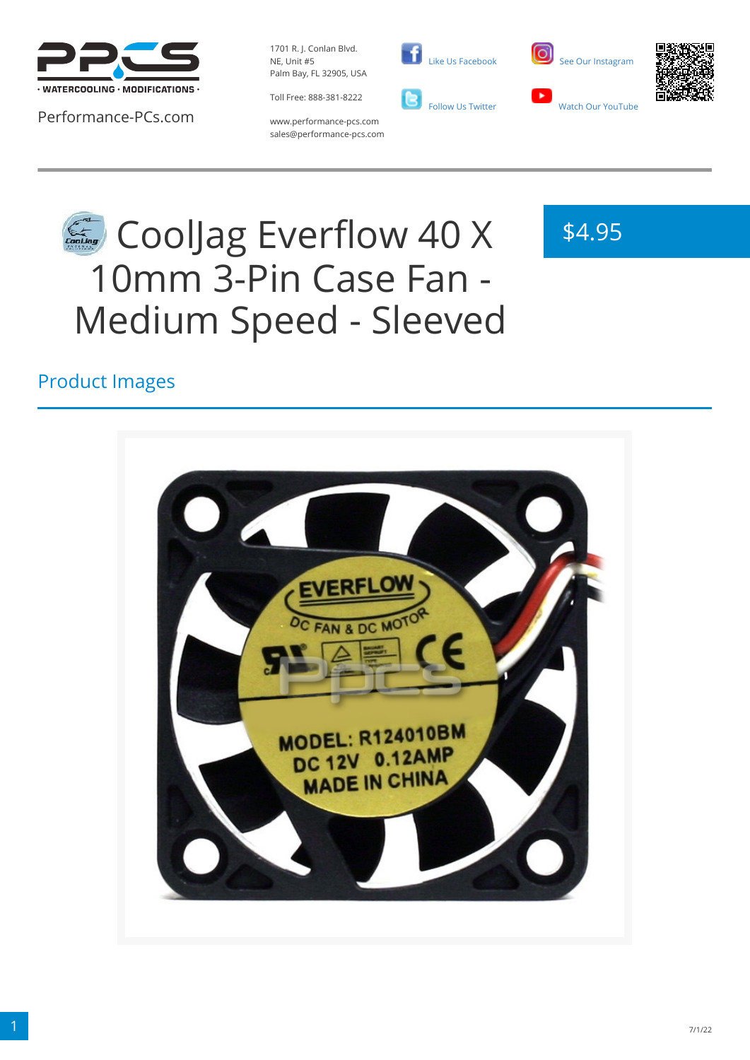

Performance-PCs.com

1701 R. J. Conlan Blvd. NE, Unit #5 Palm Bay, FL 32905, USA

Toll Free: 888-381-8222



 [Like Us Facebook](https://www.facebook.com/PerformancePCs)





www.performance-pcs.com sales@performance-pcs.com

# CoolJag Everflow 40 X 10mm 3-Pin Case Fan - Medium Speed - Sleeved

# \$4.95

## Product Images

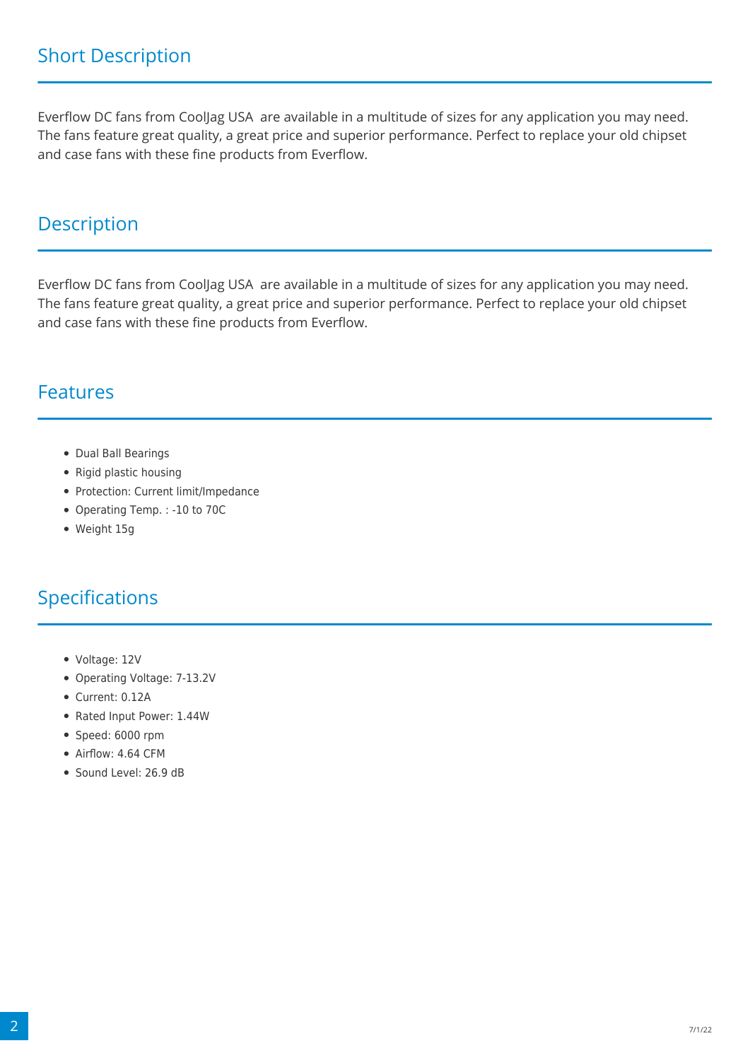Everflow DC fans from CoolJag USA are available in a multitude of sizes for any application you may need. The fans feature great quality, a great price and superior performance. Perfect to replace your old chipset and case fans with these fine products from Everflow.

#### **Description**

Everflow DC fans from CoolJag USA are available in a multitude of sizes for any application you may need. The fans feature great quality, a great price and superior performance. Perfect to replace your old chipset and case fans with these fine products from Everflow.

#### Features

- Dual Ball Bearings
- Rigid plastic housing
- Protection: Current limit/Impedance
- Operating Temp. : -10 to 70C
- Weight 15g

### Specifications

- Voltage: 12V
- Operating Voltage: 7-13.2V
- Current: 0.12A
- Rated Input Power: 1.44W
- Speed: 6000 rpm
- Airflow: 4.64 CFM
- Sound Level: 26.9 dB